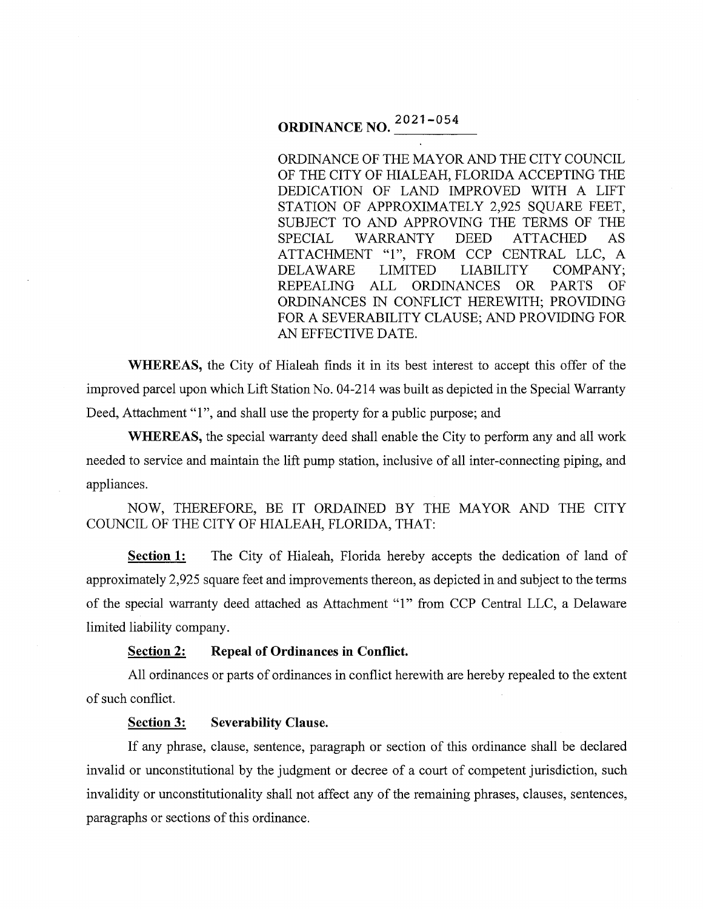# **ORDINANCE NO.**  $\frac{2021-054}{...}$

ORDINANCE OF THE MAYOR AND THE CITY COUNCIL OF THE CITY OF HIALEAH, FLORIDA ACCEPTING THE DEDICATION OF LAND IMPROVED WITH A LIFT STATION OF APPROXIMATELY 2,925 SQUARE FEET, SUBJECT TO AND APPROVING THE TERMS OF THE SPECIAL WARRANTY DEED ATTACHED AS ATTACHMENT "1", FROM CCP CENTRAL LLC, A DELA WARE LIMITED LIABILITY COMPANY; REPEALING ALL ORDINANCES OR PARTS OF ORDINANCES IN CONFLICT HEREWITH; PROVIDING FOR A SEVERABILITY CLAUSE; AND PROVIDING FOR AN EFFECTIVE DATE.

**WHEREAS,** the City of Hialeah finds it in its best interest to accept this offer of the improved parcel upon which Lift Station No. 04-214 was built as depicted in the Special Warranty Deed, Attachment "1", and shall use the property for a public purpose; and

**WHEREAS,** the special warranty deed shall enable the City to perform any and all work needed to service and maintain the lift pump station, inclusive of all inter-connecting piping, and appliances.

NOW, THEREFORE, BE IT ORDAINED BY THE MAYOR AND THE CITY COUNCIL OF THE CITY OF HIALEAH, FLORIDA, THAT:

**Section 1:** The City of Hialeah, Florida hereby accepts the dedication of land of approximately 2,925 square feet and improvements thereon, as depicted in and subject to the terms of the special warranty deed attached as Attachment "1" from CCP Central LLC, a Delaware limited liability company.

#### **Section 2: Repeal of Ordinances in Conflict.**

All ordinances or parts of ordinances in conflict herewith are hereby repealed to the extent of such conflict.

#### **Section 3: Severability Clause.**

If any phrase, clause, sentence, paragraph or section of this ordinance shall be declared invalid or unconstitutional by the judgment or decree of a court of competent jurisdiction, such invalidity or unconstitutionality shall not affect any of the remaining phrases, clauses, sentences, paragraphs or sections of this ordinance.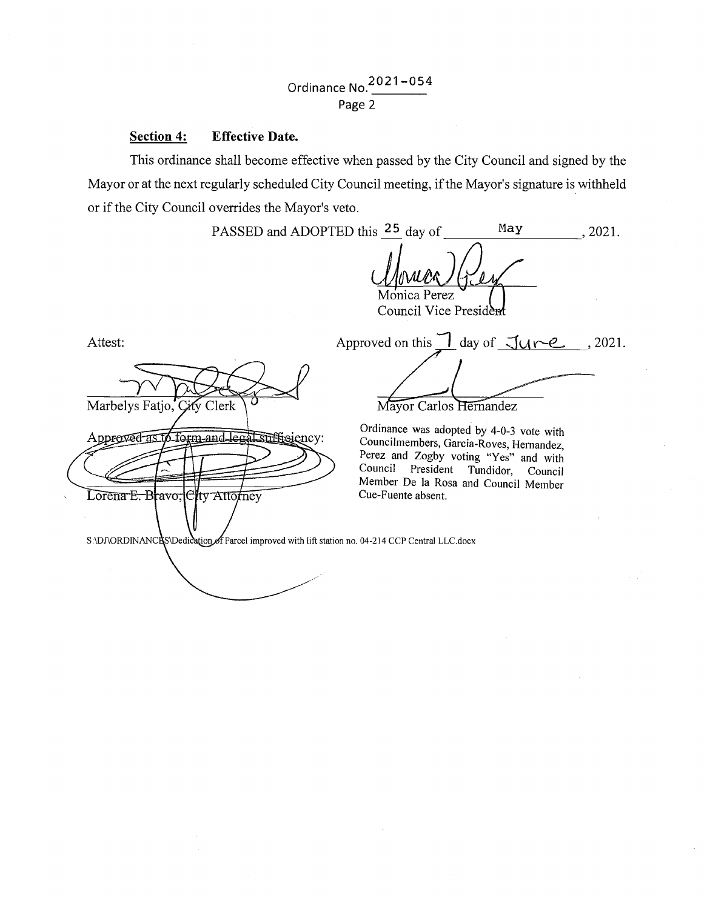## Ordinance No. 2021-054 Page 2

#### **Section 4: Effective Date.**

This ordinance shall become effective when passed by the City Council and signed by the Mayor or at the next regularly scheduled City Council meeting, if the Mayor's signature is withheld or if the City Council overrides the Mayor's veto.

PASSED and ADOPTED this  $25$  day of May  $\qquad \qquad$ , 2021. Monica Perez Council Vice Presid Approved on this  $\Box$  day of  $\Box$   $\Box$   $\angle$   $\angle$   $\angle$   $\angle$  2021. Attest: Marbelys Fatjo, City Clerk Mayor Carlos Hernandez Ordinance was adopted by 4-0-3 vote with 6 form and legal sufficiency: Approved as Councilmembers, Garcia-Roves, Hernandez, Perez and Zogby voting "Yes" and with<br>Council President Tundidor Council President Tundidor, Council Member De la Rosa and Council Member Lorena E. Bravo, City Attorney Cue-Fuente absent. S:\DJ\ORDINANCRS\Dedication of Parcel improved with lift station no. 04-214 CCP Central LLC.docx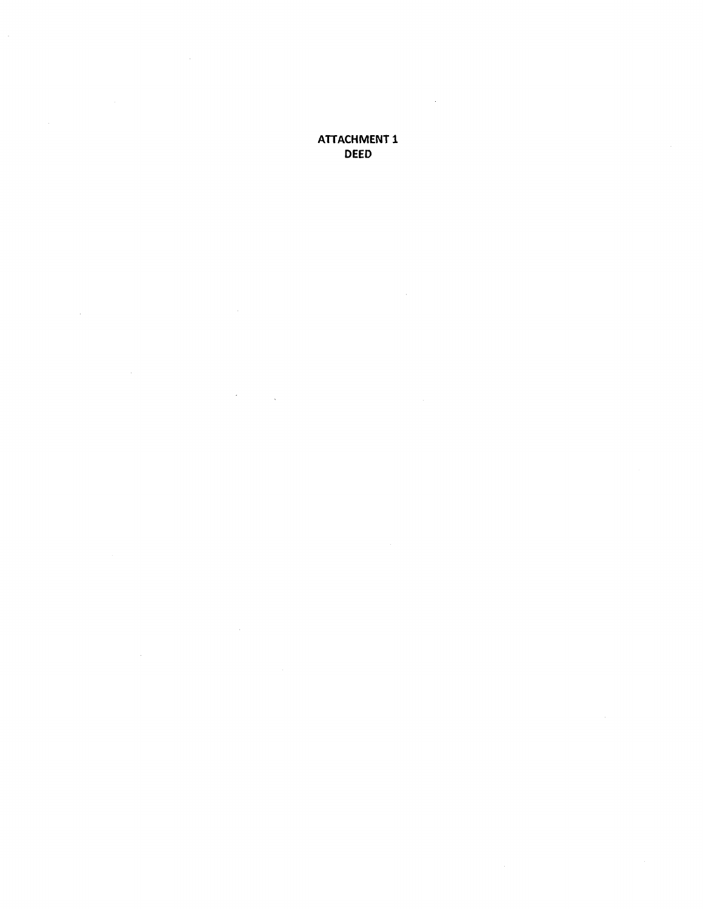## ATTACHMENT 1 DEED

 $\bar{z}$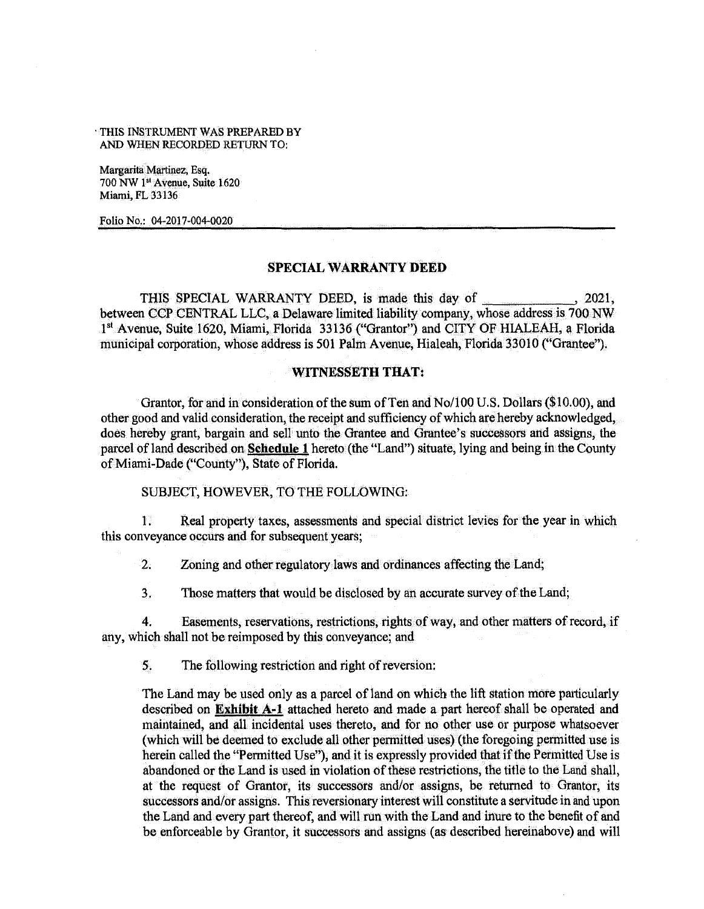·THIS INSTRUMENT WAS PREPARED BY AND WHEN RECORDED RETURN TO:

Margarita Martinez, Esq. 700 NW 1<sup>st</sup> Avenue, Suite 1620 Miami, FL 33136

Folio No.: 04-2017-004-0020

#### SPECIAL WARRANTY DEED

THIS SPECIAL WARRANTY DEED, is made this day of \_\_\_\_\_\_\_\_\_\_\_\_, 2021, between CCP CENTRAL LLC, a Delaware limited liability company, whose address is 700 NW 1st Avenue, Suite 1620, Miami, Florida 33136 ("Grantor") and CITY OF HIALEAH, a Florida municipal corporation, whose address is 501 Palm Avenue, Hialeah, Florida 33010 ("Grantee").

#### WITNESSETH THAT:

Grantor, for and in consideration of the sum of Ten and No/100 U.S. Dollars (\$10.00), and other good and valid consideration, the receipt and sufficiency of which are hereby acknowledged, does hereby grant, bargain and sell unto the Grantee and Grantee's successors and assigns, the parcel of land described on Schedule 1 hereto (the "Land") situate, lying and being in the County of Miami-Dade ("County"), State of Florida.

SUBJECT, HOWEVER, TO THE FOLLOWING:

1. Real property taxes, assessments and special district levies for the year in which this conveyance occurs and for subsequent years;

2. Zoning and other regulatory laws and ordinances affecting the Land;

3. Those matters that would be disclosed by an accurate survey of the Land;

4. Easements, reservations, restrictions, rights of way, and other matters of record, if any, which shall not be reimposed by this conveyance; and

5. The following restriction and right of reversion:

The Land may be used only as a parcel of land on which the lift station mote particularly described on Exhibit A-1 attached hereto and made a part hereof shall be operated and maintained, and all incidental uses thereto, and for no other use or purpose whatsoever (which will be deemed to exclude all other permitted uses) (the foregoing permitted use is herein called the "Permitted Use"), and it is expressly provided that if the Permitted Use is abandoned or the Land is used in violation of these restrictions, the title to the Land shall, at the request of Grantor, its successors and/or assigns, be returned to Grantor, its successors and/or assigns. This reversionary interest will constitute a servitude in and upon the Land and every part thereof, and will run with the Land and inure to the benefit of and be enforceable by Grantor, it successors and assigns (as described hereinabove) and will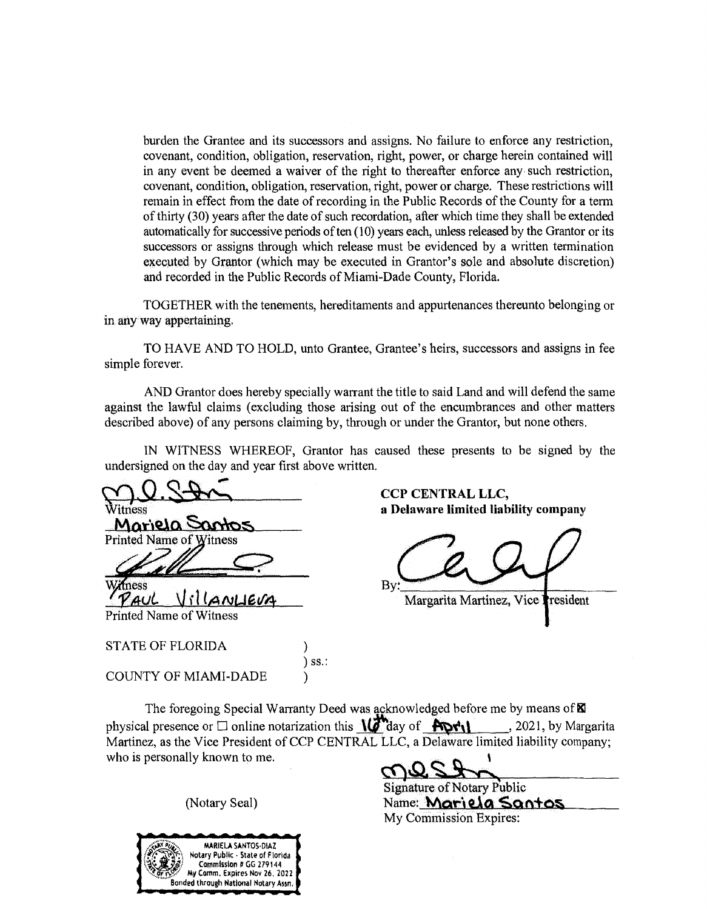burden the Grantee and its successors and assigns. No failure to enforce any restriction, covenant, condition, obligation, reservation, right, power, or charge herein contained will in any event be deemed a waiver of the right to thereafter enforce any· such restriction, covenant, condition, obligation, reservation, right, power or charge. These restrictions will remain in effect from the date of recording in the Public Records of the County for a term of thirty (30) years after the date of such recordation, after which time they shall be extended automatically for successive periods of ten (10) years each, unless released by the Grantor or its successors or assigns through which release must be evidenced by a written termination executed by Grantor (which may be executed in Grantor's sole and absolute discretion) and recorded in the Public Records of Miami-Dade County, Florida.

TOGETHER with the tenements, hereditaments and appurtenances thereunto belonging or in any way appertaining.

TO HAVE AND TO HOLD, unto Grantee, Grantee's heirs, successors and assigns in fee simple forever.

AND Grantor does hereby specially warrant the title to said Land and will defend the same against the lawful claims (excluding those arising out of the encumbrances and other matters described above) of any persons claiming by, through or under the Grantor, but none others.

IN WITNESS WHEREOF, Grantor has caused these presents to be signed by the undersigned on the day and year first above written.

x<br>Vitness CCP CENTRAL LLC,<br>a Delaware limited liab Mariela Santos Printed Name of Witness

ziness *fAUl* **\Ji l (,g NkJG</4** 

**a Delaware limited liability company** 

 $B_y:$   $\overline{\phantom{a}}$ 

Margarita Martinez, Vice President

Printed Name of Witness

STATE OF FLORIDA (1)

COUNTY OF MIAMI-DADE )

The foregoing Special Warranty Deed was. acknowledged before me by means of **RI**  physical presence or  $\Box$  online notarization this  $\sqrt{\mathcal{N}}$  day of  $\sqrt{\mathcal{N}}$   $\mathcal{N}$ , 2021, by Margarita Martinez, as the Vice President of CCP CENTRAL LLC, a Delaware limited liability company; who is personally known to me.

) ss.:



~~...:....jf-=~.~--~....:L.\_,..,,,i~~~~~~~~ Signature of Notary Public (Notary Seal) Name: **Mariela Santos** My Commission Expires: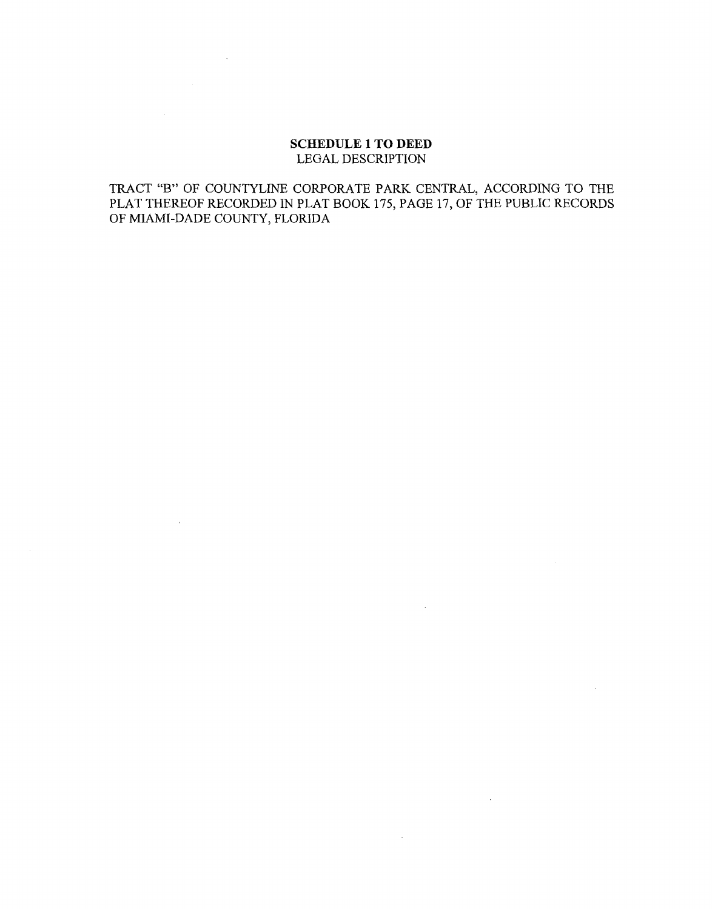#### **SCHEDULE 1 TO DEED**  LEGAL DESCRIPTION

 $\sim 10^7$ 

 $\mathbb{R}^2$ 

TRACT "B" OF COUNTYLINE CORPORATE PARK CENTRAL, ACCORDING TO THE PLAT THEREOF RECORDED IN PLAT BOOK 175, PAGE 17, OF THE PUBLIC RECORDS OF MIAMI-DADE COUNTY, FLORIDA

 $\sim$ 

 $\sim 10^7$ 

 $\sim 10^7$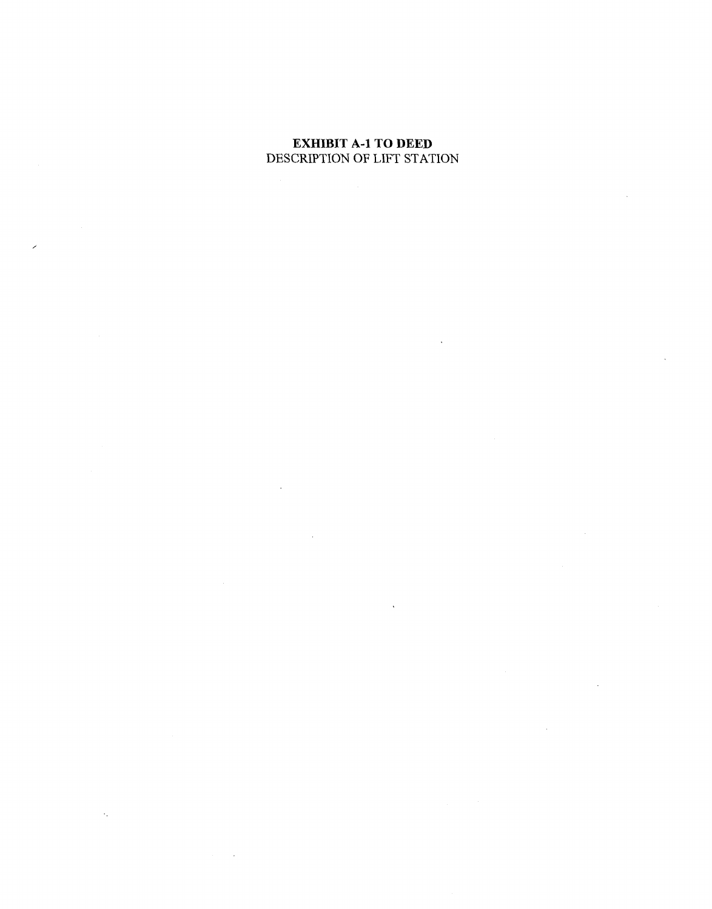## **EXHIBIT A-1 TO DEED**  DESCRIPTION OF LIFT STATION

/

 $\hat{\mathcal{L}}_i$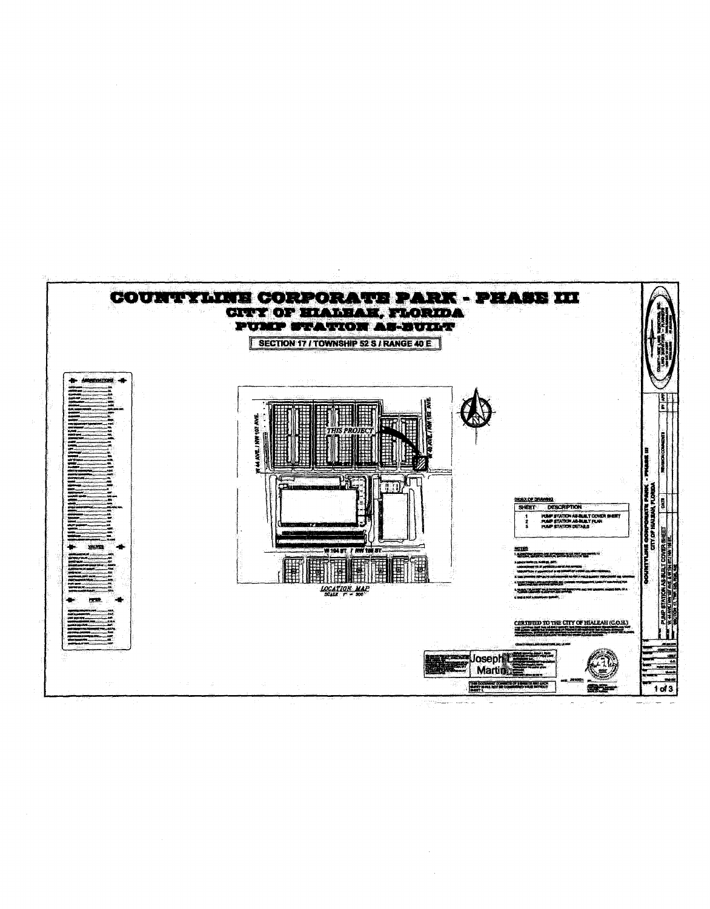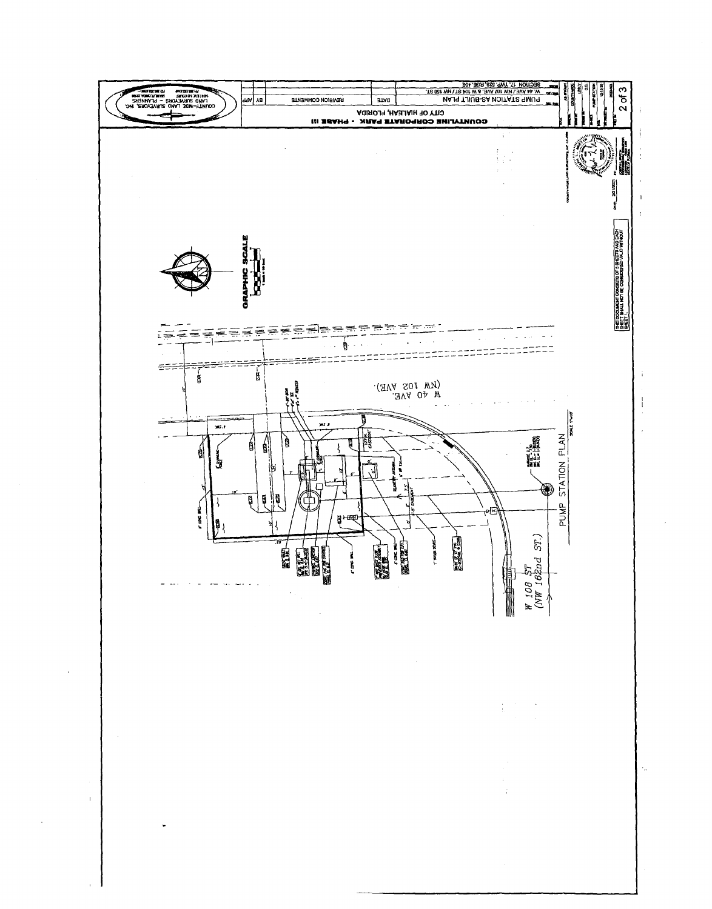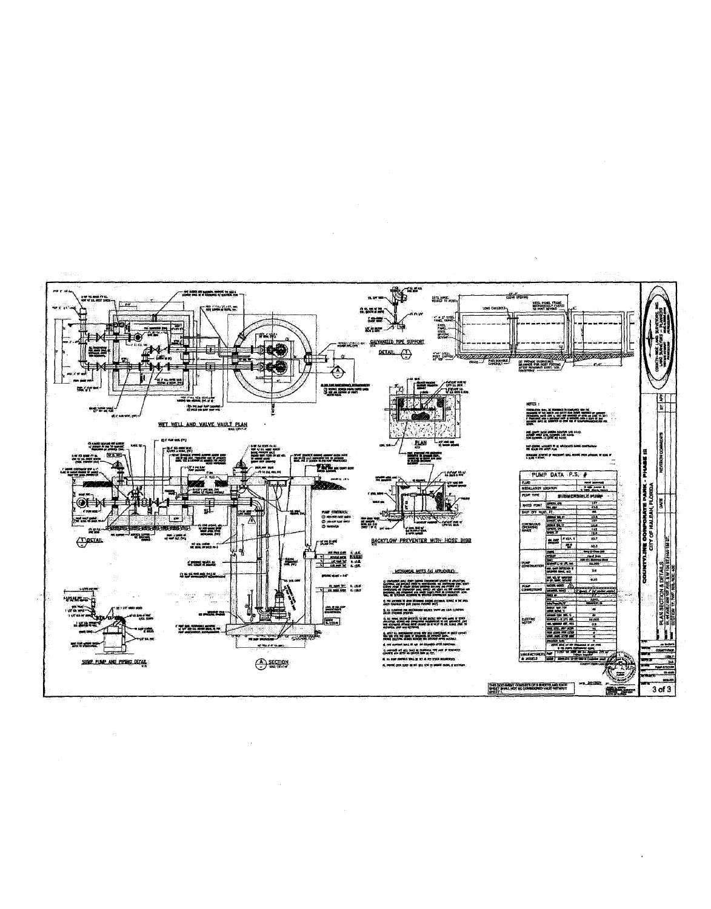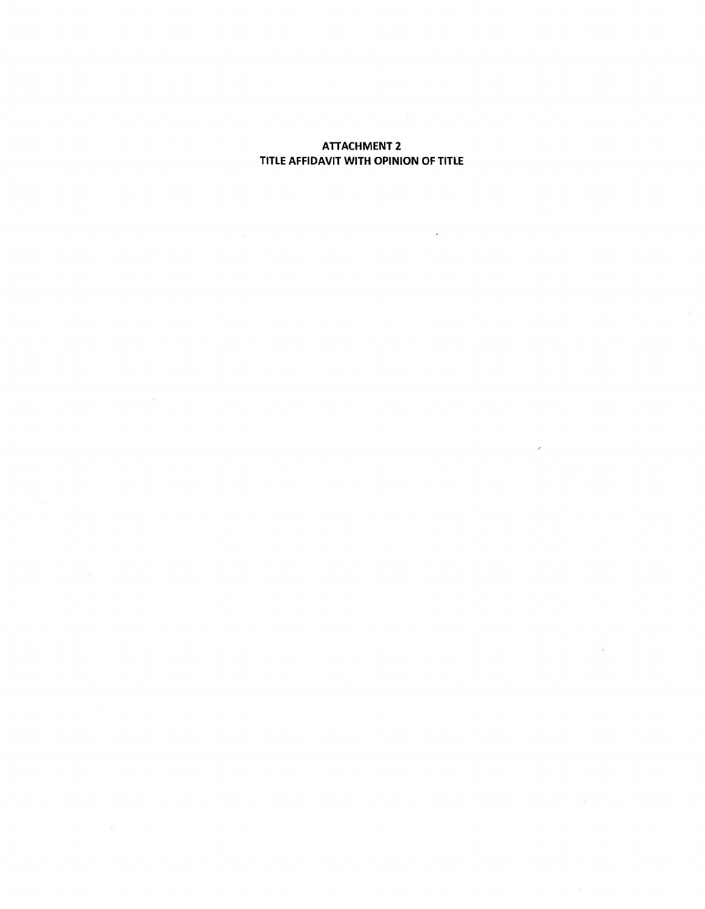## **ATTACHMENT 2** TITLE AFFIDAVIT WITH OPINION OF TITLE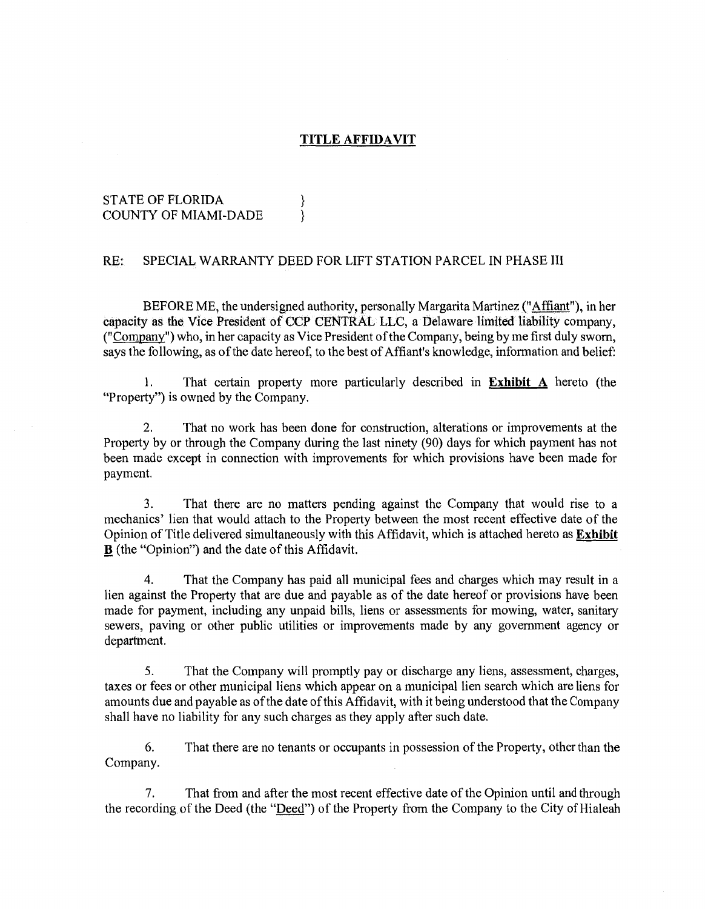#### **TITLE AFFIDAVIT**

#### STATE OF FLORIDA  $\}$ COUNTY OF MIAMI-DADE }

#### RE: SPECIAL WARRANTY DEED FOR LIFT STATION PARCEL IN PHASE III

BEFORE ME, the undersigned authority, personally Margarita Martinez ("Affiant"), in her capacity as the Vice President of CCP CENTRAL LLC, a Delaware limited liability company, ("Company") who, in her capacity as Vice President of the Company, being by me first duly sworn, says the following, as of the date hereof, to the best of Affiant's knowledge, information and belief:

1. That certain property more particularly described in **Exhibit** A hereto (the "Property") is owned by the Company.

2. That no work has been done for construction, alterations or improvements at the Property by or through the Company during the last ninety (90) days for which payment has not been made except in connection with improvements for which provisions have been made for payment.

3. That there are no matters pending against the Company that would rise to a mechanics' lien that would attach to the Property between the most recent effective date of the Opinion of Title delivered simultaneously with this Affidavit, which is attached hereto as **Exhibit B** (the "Opinion") and the date of this Affidavit.

4. That the Company has paid all municipal fees and charges which may result in a lien against the Property that are due and payable as of the date hereof or provisions have been made for payment, including any unpaid bills, liens or assessments for mowing, water, sanitary sewers, paving or other public utilities or improvements made by any government agency or department.

5. That the Company will promptly pay or discharge any liens, assessment, charges, taxes or fees or other municipal liens which appear on a municipal lien search which are liens for amounts due and payable as of the date of this Affidavit, with it being understood that the Company shall have no liability for any such charges as they apply after such date.

6. That there are no tenants or occupants in possession of the Property, other than the Company.

7. That from and after the most recent effective date of the Opinion until and through the recording of the Deed (the "Deed") of the Property from the Company to the City of Hialeah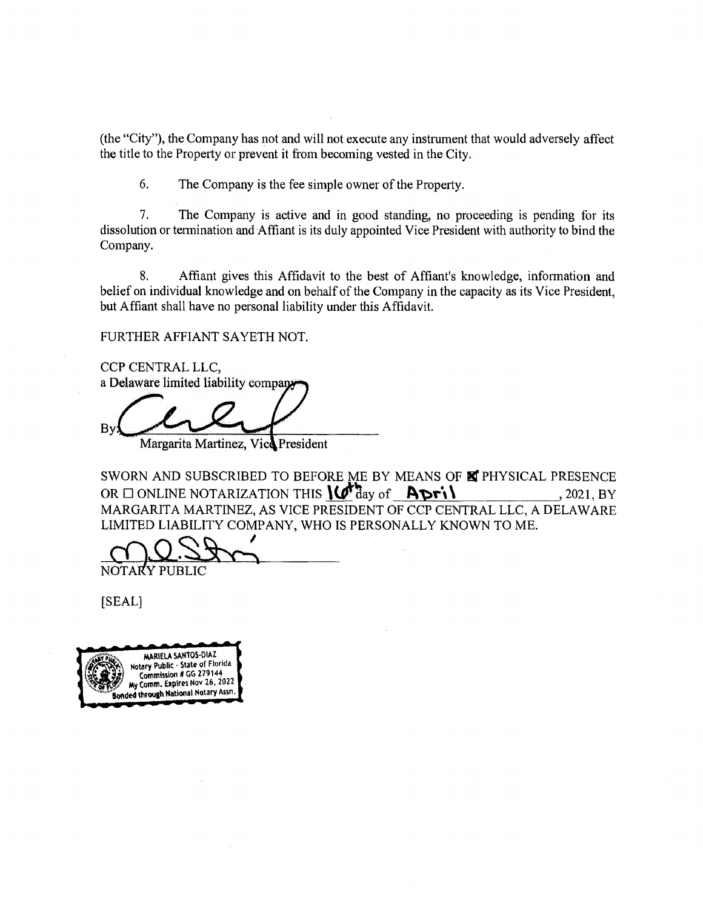(the "City"), the Company has not and will not execute any instrument that would adversely affect the title to the Property or prevent it from becoming vested in the City.

6. The Company is the fee simple owner of the Property.

7. The Company is active and in good standing, no proceeding is pending for its dissolution or termination and Affiant is its duly appointed Vice President with authority to bind the Company.

8. Affiant gives this Affidavit to the best of Affiant's knowledge, information and belief on individual knowledge and on behalf of the Company in the capacity as its Vice President, but Affiant shall have no personal liability under this Affidavit.

FURTHER AFFIANT SAYETH NOT.

CCP CENTRAL LLC, a Delaware limited liability compa

Bv.

Margarita Martinez, Vice President

SWORN AND SUBSCRIBED TO BEFORE ME BY MEANS OF E PHYSICAL PRESENCE OR 0 ONLINE NOTARIZATION THIS \<J"~ay of **J\'t>t"\\** , 2021, BY MARGARITA MARTINEZ, AS VICE PRESIDENT OF CCP CENTRAL LLC, A DELAWARE LIMITED LIABILITY COMPANY, WHO IS PERSONALLY KNOWN TO ME.

NOTARY PUBLIC

[SEAL]

MARIELA SANTOS-DIAZ Notary Public - State of Florida Commission # GG 279144 Comm. Expires Nov 26, 2022 Bonded through National Notary Assn.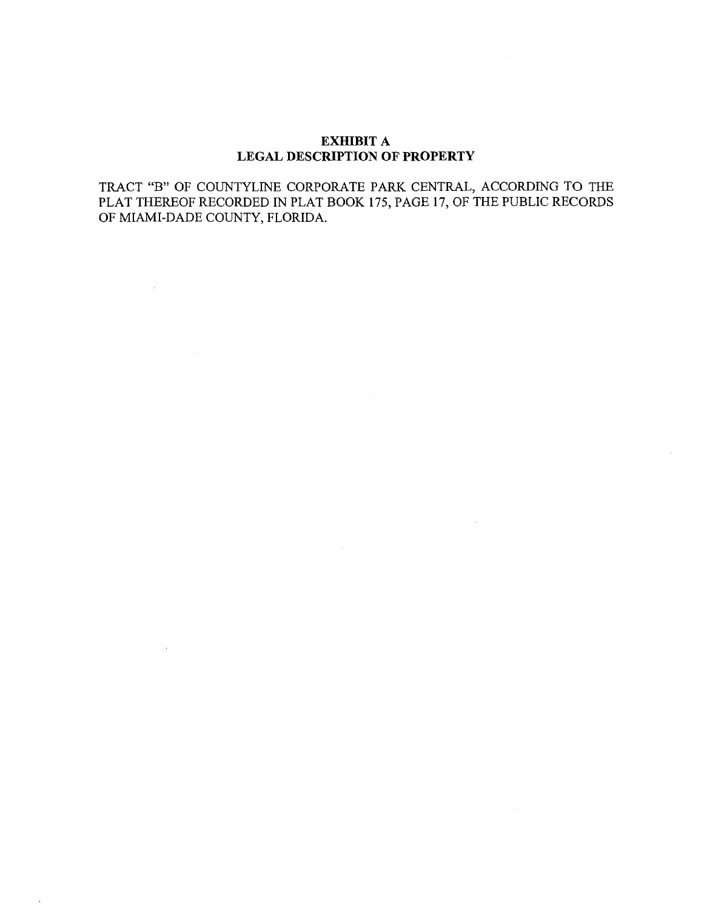#### **EXHIBIT A LEGAL DESCRIPTION OF PROPERTY**

TRACT "B" OF COUNTYLINE CORPORA TE PARK CENTRAL, ACCORDING TO THE PLAT THEREOF RECORDED IN PLAT BOOK 175, PAGE 17, OF THE PUBLIC RECORDS OF MIAMI-DADE COUNTY, FLORIDA.

 $\sim 40$ 

 $\sim 10^{-1}$ 

 $\sim$ 

 $\mathcal{L}^{\text{max}}_{\text{max}}$  and  $\mathcal{L}^{\text{max}}_{\text{max}}$ 

 $\sim 10^{-11}$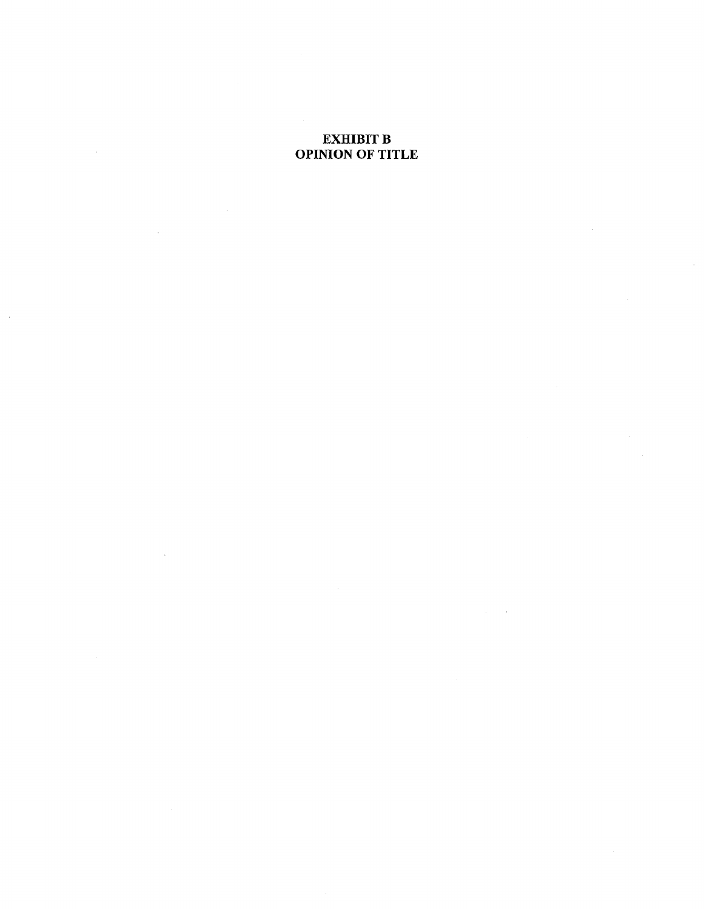## EXHIBIT **B** OPINION OF TITLE

 $\bar{\gamma}$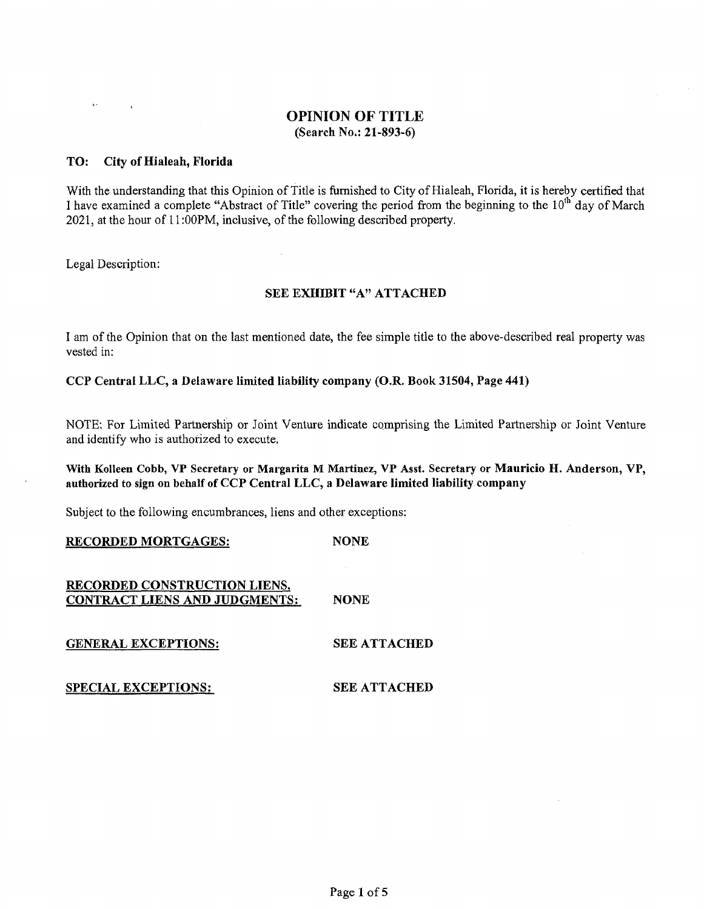#### TO: City of Hialeah, Florida

With the understanding that this Opinion of Title is furnished to City of Hialeah, Florida, it is hereby certified that I have examined a complete "Abstract of Title" covering the period from the beginning to the 10<sup>th</sup> day of March 2021, at the hour of 11 :OOPM, inclusive, of the following described property.

Legal Description:

 $\Delta\sim 10^{-11}$ 

## SEE EXHIBIT "A" ATTACHED

I am of the Opinion that on the last mentioned date, the fee simple title to the above-described real property was vested in:

CCP Central LLC, a Delaware limited liability company (O.R. Book 31504, Page 441)

NOTE: For Limited Partnership or Joint Venture indicate comprising the Limited Partnership or Joint Venture and identify who is authorized to execute.

#### With Kolleen Cobb, VP Secretary or Margarita M Martinez, VP Asst. Secretary or Mauricio H. Anderson, VP, authorized to sign on behalf of CCP Central LLC, a Delaware limited liability company

Subject to the following encumbrances, liens and other exceptions:

RECORDED MORTGAGES: NONE

RECORDED CONSTRUCTION LIENS, CONTRACT LIENS AND JUDGMENTS: **NONE** 

GENERAL EXCEPTIONS:

SEE ATTACHED

SEE ATTACHED

SPECIAL EXCEPTIONS: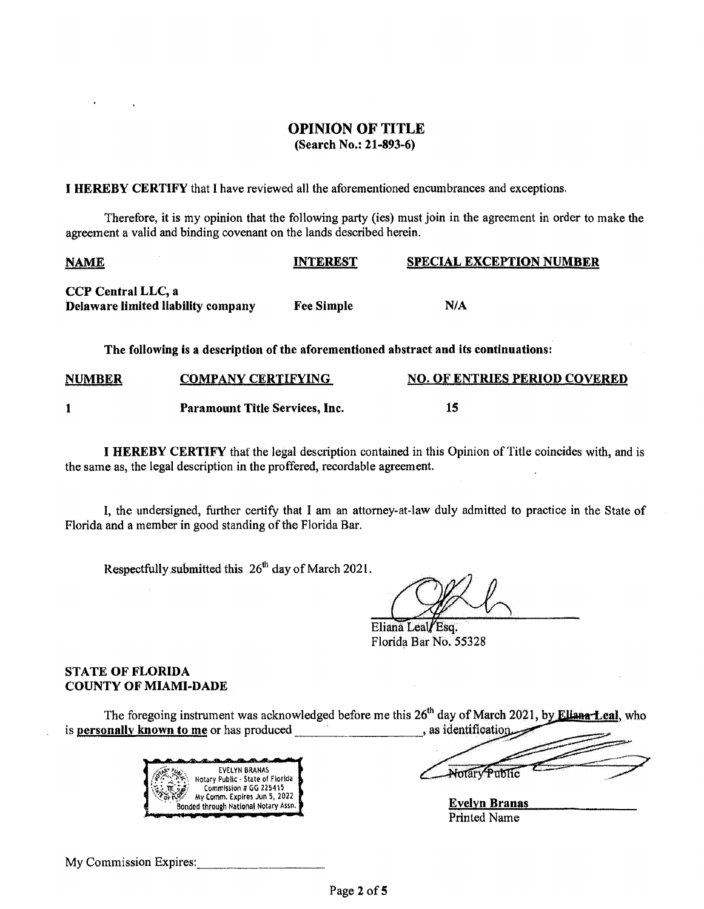I HEREBY CERTIFY that I have reviewed all the aforementioned encumbrances and exceptions.

Therefore, it is my opinion that the following party (ies) must join in the agreement in order to make the agreement a valid and binding covenant on the lands described herein.

| <b>NAME</b>                                                                          | interest                  | <b>SPECIAL EXCEPTION NUMBER</b> |  |  |  |
|--------------------------------------------------------------------------------------|---------------------------|---------------------------------|--|--|--|
| <b>CCP Central LLC, a</b><br>Delaware limited liability company                      | <b>Fee Simple</b>         | N/A                             |  |  |  |
| The following is a description of the aforementioned abstract and its continuations: |                           |                                 |  |  |  |
| <b>NUMBER</b>                                                                        | <b>COMPANY CERTIFYING</b> | NO. OF ENTRIES PERIOD COVERED   |  |  |  |

| <b>Paramount Title Services, Inc.</b> | 15 |
|---------------------------------------|----|

I HEREBY CERTIFY that the legal description contained in this Opinion of Title coincides with, and is the same as, the legal description in the proffered, recordable agreement.

I, the undersigned, further certify that I am an attorney-at-law duly admitted to practice in the State of Florida and a member in good standing of the Florida Bar.

Respectfully submitted this  $26<sup>th</sup>$  day of March 2021.

Eliana Leal/Esq. Florida Bar No. 55328

## STATE OF FLORIDA COUNTY OF MIAMI-DADE

The foregoing instrument was acknowledged before me this 26<sup>th</sup> day of March 2021, by **Ellana-Leal**, who is personally known to me or has produced as identification



Notary Public

Evelyn Branas Printed Name

My Commission Expires: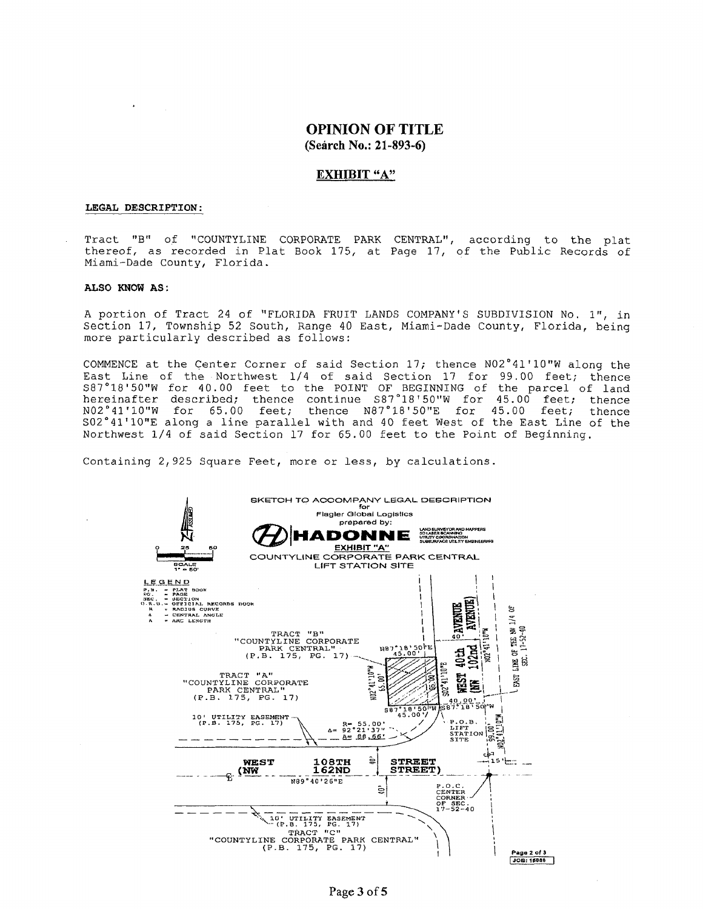#### EXHIBIT "A"

#### LEGAL DESCRIPTION:

Tract "B" of "COUNTYLINE CORPORATE PARK CENTRAL", according to the plat thereof, as recorded in Plat Book 175, at Page 17, of the Public Records of Miami-Dade County, Florida.

#### ALSO KNOW AS :

A portion of Tract 24 of "FLORIDA FRUIT LANDS COMPANY'S SUBDIVISION No, 1", in Section 17, Township 52 South, Range 40 East, Miami-Dade County, Florida, being more particularly described as follows:

COMMENCE at the Center Corner of said Section 17; thence  $N02°41'10''W$  along the East Line of the Northwest 1/4 of said Section 17 for 99.00 feet; thence S87 °18 'SO"W for 4 0. 00 feet to the POINT OF BEGINNING of the parcel of land hereinafter described; thence continue S87°18'50"W for 45.00 feet; thence N02 ° 41 'lO"W for 65. 00 feet; thence N87°18' 50"E for 45. 00 feet; thence NO2°41'10"W for 65.00 feet; thence N87°18'50"E for 45.00 feet; thence<br>SO2°41'10"E along a line parallel with and 40 feet West of the East Line of the Northwest 1/4 of said Section 17 for 65.00 feet to the Point of Beginning.

Containing 2,925 Square Feet, more or less, by calculations.

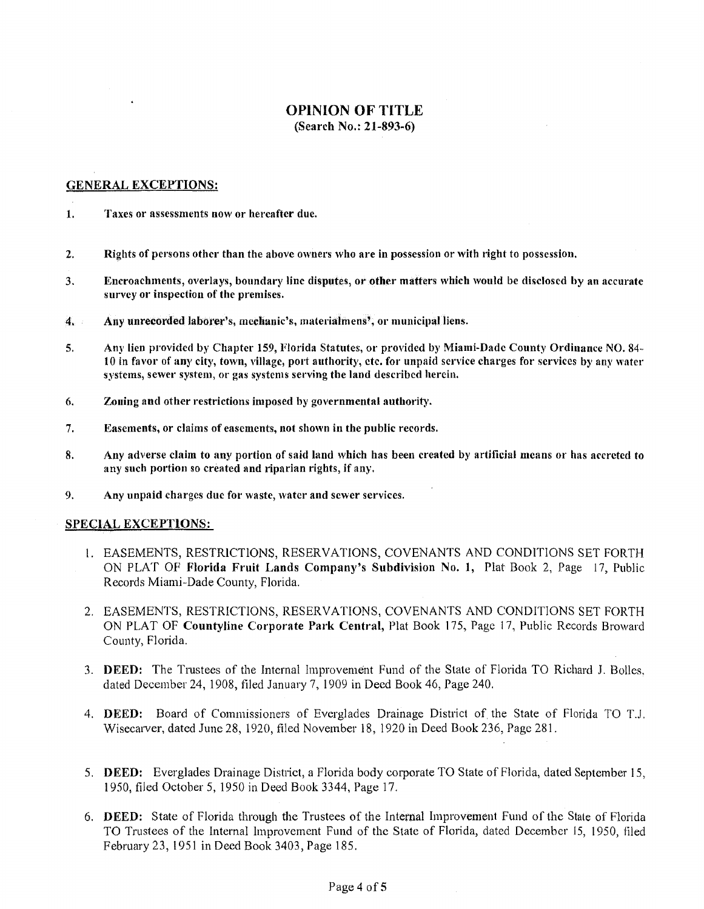#### GENERAL EXCEPTIONS:

- 1. Taxes or assessments now or hereafter due.
- 2. Rights of persons other than the above owners who are in possession or with right to possession.
- 3. Encroachments, overlays, boundary line disputes, or other matters which would be disclosed by an accurate survey or inspection of the premises.
- 4. Any unrecorded laborer's, mechanic's, materialmens', or municipal liens.
- 5. Any lien provided by Chapter 159, Florida Statutes, or provided by Miami-Dade County Ordinance NO. 84- 10 in favor of any city, town, village, port authority, etc. for unpaid service charges for services by any water systems, sewer system, or gas systems serving the land described herein.
- 6. Zoning and other restrictions imposed by governmental authority.
- 7. Easements, or claims of easements, not shown in the public records.
- 8. Any adverse claim to any portion of said land which has been created by artificial means or has accreted to any such portion so created and riparian rights, if any.
- 9. Any unpaid charges due for waste, water and sewer services.

#### SPECIAL EXCEPTIONS:

- I. EASEMENTS, RESTRICTIONS, RESERVATIONS, COVENANTS AND CONDITIONS SET FORTH ON PLAT OF Florida Fruit Lands Company's Subdivision No. 1, Plat Book 2, Page 17, Public Records Miami-Dade County, Florida.
- 2. EASEMENTS, RESTRICTIONS, RESERVATIONS, COVENANTS AND CONDITIONS SET FORTH ON PLAT OF Countyline Corporate Park Central, Plat Book 175, Page 17, Public Records Broward County, Florida.
- 3. DEED: The Trustees of the Internal Improvement Fund of the State of Florida TO Richard J. Bolles. dated December 24, 1908, filed January 7, 1909 in Deed Book 46, Page 240.
- 4. DEED: Board of Commissioners of Everglades Drainage District of. the State of Florida TO T.J. Wisecarver, dated June 28, 1920, filed November 18, 1920 in Deed Book 236, Page 281.
- 5. DEED: Everglades Drainage District, a Florida body corporate TO State of Florida, dated September 15, 1950, filed October 5, 1950 in Deed Book 3344, Page 17.
- 6. DEED: State of Florida through the Trustees of the Internal Improvement Fund of the Stale of Florida TO Trustees of the Internal Improvement Fund of the State of Florida, dated December 15, 1950, filed February 23, 1951 in Deed Book 3403, Page 185.